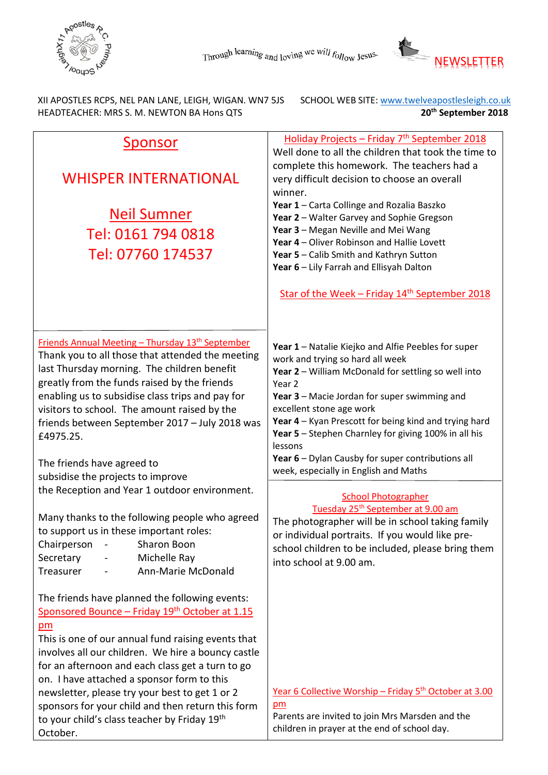



XII APOSTLES RCPS, NEL PAN LANE, LEIGH, WIGAN. WN7 5JS SCHOOL WEB SITE: www.twelveapostlesleigh.co.uk<br>HEADTEACHER: MRS S. M. NEWTON BA Hons QTS **SUPPER SET SET ASSESS** 20<sup>th</sup> September 2018 HEADTEACHER: MRS S. M. NEWTON BA Hons QTS **20th September 2018** 

| Sponsor                                                                                                                                                                                                                                                                                                                                                                                                                                                                                    | Holiday Projects - Friday 7 <sup>th</sup> September 2018                                                                                                                                                                                                                                                                                                                                                                                                                                         |
|--------------------------------------------------------------------------------------------------------------------------------------------------------------------------------------------------------------------------------------------------------------------------------------------------------------------------------------------------------------------------------------------------------------------------------------------------------------------------------------------|--------------------------------------------------------------------------------------------------------------------------------------------------------------------------------------------------------------------------------------------------------------------------------------------------------------------------------------------------------------------------------------------------------------------------------------------------------------------------------------------------|
| <b>WHISPER INTERNATIONAL</b><br><u>Neil Sumner</u><br>Tel: 0161 794 0818<br>Tel: 07760 174537                                                                                                                                                                                                                                                                                                                                                                                              | Well done to all the children that took the time to<br>complete this homework. The teachers had a<br>very difficult decision to choose an overall<br>winner.<br>Year 1 - Carta Collinge and Rozalia Baszko<br>Year 2 - Walter Garvey and Sophie Gregson<br>Year 3 - Megan Neville and Mei Wang<br>Year 4 - Oliver Robinson and Hallie Lovett<br>Year 5 - Calib Smith and Kathryn Sutton<br>Year 6 - Lily Farrah and Ellisyah Dalton<br>Star of the Week - Friday 14 <sup>th</sup> September 2018 |
| <b>Friends Annual Meeting - Thursday 13<sup>th</sup> September</b><br>Thank you to all those that attended the meeting<br>last Thursday morning. The children benefit<br>greatly from the funds raised by the friends<br>enabling us to subsidise class trips and pay for<br>visitors to school. The amount raised by the<br>friends between September 2017 - July 2018 was<br>£4975.25.<br>The friends have agreed to<br>subsidise the projects to improve                                | Year 1 - Natalie Kiejko and Alfie Peebles for super<br>work and trying so hard all week<br>Year 2 - William McDonald for settling so well into<br>Year <sub>2</sub><br>Year 3 - Macie Jordan for super swimming and<br>excellent stone age work<br>Year 4 - Kyan Prescott for being kind and trying hard<br>Year 5 - Stephen Charnley for giving 100% in all his<br>lessons<br>Year 6 - Dylan Causby for super contributions all<br>week, especially in English and Maths                        |
| the Reception and Year 1 outdoor environment.<br>Many thanks to the following people who agreed<br>to support us in these important roles:<br>Sharon Boon<br>Chairperson<br>Michelle Ray<br>Secretary<br>Treasurer<br>Ann-Marie McDonald                                                                                                                                                                                                                                                   | <b>School Photographer</b><br>Tuesday 25 <sup>th</sup> September at 9.00 am<br>The photographer will be in school taking family<br>or individual portraits. If you would like pre-<br>school children to be included, please bring them<br>into school at 9.00 am.                                                                                                                                                                                                                               |
| The friends have planned the following events:<br>Sponsored Bounce - Friday 19th October at 1.15<br>$p$ m<br>This is one of our annual fund raising events that<br>involves all our children. We hire a bouncy castle<br>for an afternoon and each class get a turn to go<br>on. I have attached a sponsor form to this<br>newsletter, please try your best to get 1 or 2<br>sponsors for your child and then return this form<br>to your child's class teacher by Friday 19th<br>October. | Year 6 Collective Worship - Friday 5 <sup>th</sup> October at 3.00<br>$p$ m<br>Parents are invited to join Mrs Marsden and the<br>children in prayer at the end of school day.                                                                                                                                                                                                                                                                                                                   |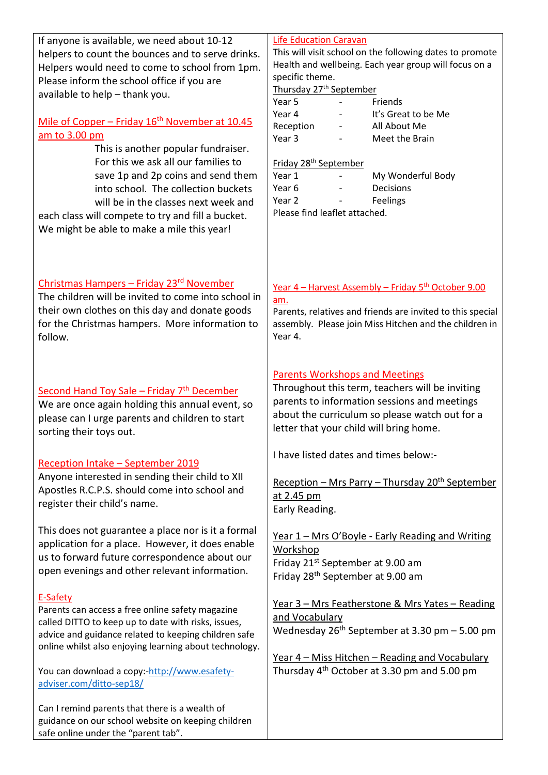If anyone is available, we need about 10-12 helpers to count the bounces and to serve drinks. Helpers would need to come to school from 1pm. Please inform the school office if you are available to help – thank you.

## Mile of Copper – Friday  $16<sup>th</sup>$  November at 10.45 am to 3.00 pm

This is another popular fundraiser. For this we ask all our families to save 1p and 2p coins and send them into school. The collection buckets will be in the classes next week and

each class will compete to try and fill a bucket. We might be able to make a mile this year!

## Christmas Hampers – Friday 23rd November

The children will be invited to come into school in their own clothes on this day and donate goods for the Christmas hampers. More information to follow.

## Second Hand Toy Sale – Friday  $7<sup>th</sup>$  December

We are once again holding this annual event, so please can I urge parents and children to start sorting their toys out.

### Reception Intake – September 2019

Anyone interested in sending their child to XII Apostles R.C.P.S. should come into school and register their child's name.

This does not guarantee a place nor is it a formal application for a place. However, it does enable us to forward future correspondence about our open evenings and other relevant information.

### E-Safety

Parents can access a free online safety magazine called DITTO to keep up to date with risks, issues, advice and guidance related to keeping children safe online whilst also enjoying learning about technology.

You can download a copy:[-http://www.esafety](http://www.esafety-adviser.com/ditto-sep18/)[adviser.com/ditto-sep18/](http://www.esafety-adviser.com/ditto-sep18/)

Can I remind parents that there is a wealth of guidance on our school website on keeping children safe online under the "parent tab".

#### Life Education Caravan

This will visit school on the following dates to promote Health and wellbeing. Each year group will focus on a specific theme.

Thursday 27<sup>th</sup> September

| Year 5    |                          | Friends             |
|-----------|--------------------------|---------------------|
| Year 4    | $\overline{\phantom{0}}$ | It's Great to be Me |
| Reception | $\overline{\phantom{0}}$ | All About Me        |
| Year 3    |                          | Meet the Brain      |
|           |                          |                     |

#### Friday 28th September

| Year 1                        |                          | My Wonderful Body |
|-------------------------------|--------------------------|-------------------|
| Year 6                        |                          | Decisions         |
| Year 2                        | $\overline{\phantom{0}}$ | Feelings          |
| Please find leaflet attached. |                          |                   |

## Year 4 – Harvest Assembly – Friday  $5<sup>th</sup>$  October 9.00 am.

Parents, relatives and friends are invited to this special assembly. Please join Miss Hitchen and the children in Year 4.

## Parents Workshops and Meetings

Throughout this term, teachers will be inviting parents to information sessions and meetings about the curriculum so please watch out for a letter that your child will bring home.

I have listed dates and times below:-

Reception – Mrs Parry – Thursday  $20<sup>th</sup>$  September at 2.45 pm Early Reading.

Year 1 – Mrs O'Boyle - Early Reading and Writing Workshop Friday 21st September at 9.00 am Friday 28th September at 9.00 am

Year 3 – Mrs Featherstone & Mrs Yates – Reading and Vocabulary Wednesday  $26<sup>th</sup>$  September at 3.30 pm  $-$  5.00 pm

Year 4 – Miss Hitchen – Reading and Vocabulary Thursday 4th October at 3.30 pm and 5.00 pm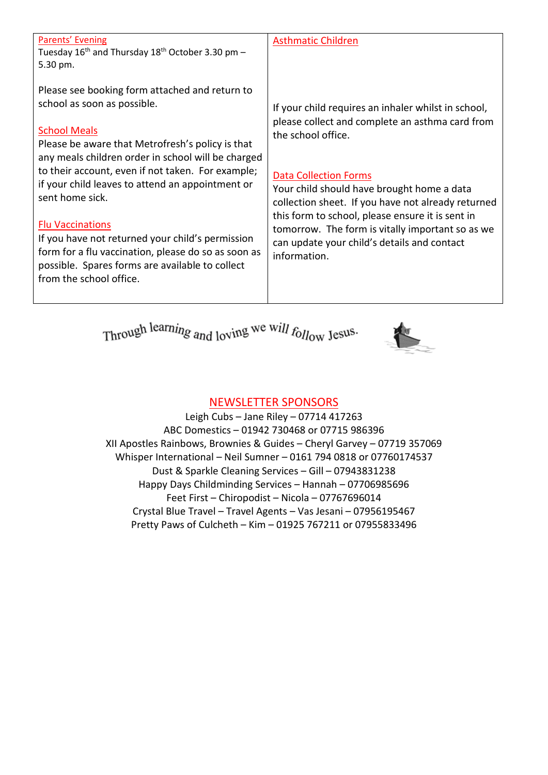| <b>Parents' Evening</b><br><b>Asthmatic Children</b><br>Tuesday $16^{th}$ and Thursday $18^{th}$ October 3.30 pm -<br>5.30 pm.<br>Please see booking form attached and return to<br>school as soon as possible.<br>If your child requires an inhaler whilst in school,<br>please collect and complete an asthma card from<br><b>School Meals</b><br>the school office.<br>Please be aware that Metrofresh's policy is that<br>any meals children order in school will be charged<br>to their account, even if not taken. For example;<br><b>Data Collection Forms</b><br>if your child leaves to attend an appointment or<br>Your child should have brought home a data<br>sent home sick.<br>collection sheet. If you have not already returned<br>this form to school, please ensure it is sent in<br><b>Flu Vaccinations</b><br>tomorrow. The form is vitally important so as we<br>If you have not returned your child's permission<br>can update your child's details and contact<br>form for a flu vaccination, please do so as soon as<br>information.<br>possible. Spares forms are available to collect<br>from the school office. |  |
|---------------------------------------------------------------------------------------------------------------------------------------------------------------------------------------------------------------------------------------------------------------------------------------------------------------------------------------------------------------------------------------------------------------------------------------------------------------------------------------------------------------------------------------------------------------------------------------------------------------------------------------------------------------------------------------------------------------------------------------------------------------------------------------------------------------------------------------------------------------------------------------------------------------------------------------------------------------------------------------------------------------------------------------------------------------------------------------------------------------------------------------------|--|
|                                                                                                                                                                                                                                                                                                                                                                                                                                                                                                                                                                                                                                                                                                                                                                                                                                                                                                                                                                                                                                                                                                                                             |  |
|                                                                                                                                                                                                                                                                                                                                                                                                                                                                                                                                                                                                                                                                                                                                                                                                                                                                                                                                                                                                                                                                                                                                             |  |

Through learning and loving we will follow Jesus.



# NEWSLETTER SPONSORS

Leigh Cubs – Jane Riley – 07714 417263 ABC Domestics – 01942 730468 or 07715 986396 XII Apostles Rainbows, Brownies & Guides – Cheryl Garvey – 07719 357069 Whisper International – Neil Sumner – 0161 794 0818 or 07760174537 Dust & Sparkle Cleaning Services – Gill – 07943831238 Happy Days Childminding Services – Hannah – 07706985696 Feet First – Chiropodist – Nicola – 07767696014 Crystal Blue Travel – Travel Agents – Vas Jesani – 07956195467 Pretty Paws of Culcheth – Kim – 01925 767211 or 07955833496